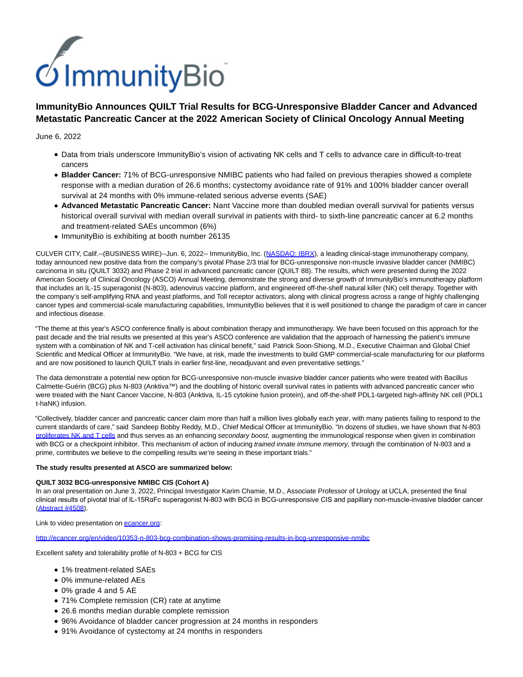

# **ImmunityBio Announces QUILT Trial Results for BCG-Unresponsive Bladder Cancer and Advanced Metastatic Pancreatic Cancer at the 2022 American Society of Clinical Oncology Annual Meeting**

June 6, 2022

- Data from trials underscore ImmunityBio's vision of activating NK cells and T cells to advance care in difficult-to-treat cancers
- **Bladder Cancer:** 71% of BCG-unresponsive NMIBC patients who had failed on previous therapies showed a complete response with a median duration of 26.6 months; cystectomy avoidance rate of 91% and 100% bladder cancer overall survival at 24 months with 0% immune-related serious adverse events (SAE)
- **Advanced Metastatic Pancreatic Cancer:** Nant Vaccine more than doubled median overall survival for patients versus historical overall survival with median overall survival in patients with third- to sixth-line pancreatic cancer at 6.2 months and treatment-related SAEs uncommon (6%)
- ImmunityBio is exhibiting at booth number 26135

CULVER CITY, Calif.--(BUSINESS WIRE)--Jun. 6, 2022-- ImmunityBio, Inc. [\(NASDAQ: IBRX\),](https://cts.businesswire.com/ct/CT?id=smartlink&url=https%3A%2F%2Fwww.nasdaq.com%2Fmarket-activity%2Fstocks%2Fibrx&esheet=52740138&newsitemid=20220606005443&lan=en-US&anchor=NASDAQ%3A+IBRX&index=1&md5=0973cb4247a33d39698275d00a9f0008) a leading clinical-stage immunotherapy company, today announced new positive data from the company's pivotal Phase 2/3 trial for BCG-unresponsive non-muscle invasive bladder cancer (NMIBC) carcinoma in situ (QUILT 3032) and Phase 2 trial in advanced pancreatic cancer (QUILT 88). The results, which were presented during the 2022 American Society of Clinical Oncology (ASCO) Annual Meeting, demonstrate the strong and diverse growth of ImmunityBio's immunotherapy platform that includes an IL-15 superagonist (N-803), adenovirus vaccine platform, and engineered off-the-shelf natural killer (NK) cell therapy. Together with the company's self-amplifying RNA and yeast platforms, and Toll receptor activators, along with clinical progress across a range of highly challenging cancer types and commercial-scale manufacturing capabilities, ImmunityBio believes that it is well positioned to change the paradigm of care in cancer and infectious disease.

"The theme at this year's ASCO conference finally is about combination therapy and immunotherapy. We have been focused on this approach for the past decade and the trial results we presented at this year's ASCO conference are validation that the approach of harnessing the patient's immune system with a combination of NK and T-cell activation has clinical benefit," said Patrick Soon-Shiong, M.D., Executive Chairman and Global Chief Scientific and Medical Officer at ImmunityBio. "We have, at risk, made the investments to build GMP commercial-scale manufacturing for our platforms and are now positioned to launch QUILT trials in earlier first-line, neoadjuvant and even preventative settings."

The data demonstrate a potential new option for BCG-unresponsive non-muscle invasive bladder cancer patients who were treated with Bacillus Calmette-Guérin (BCG) plus N-803 (Anktiva™) and the doubling of historic overall survival rates in patients with advanced pancreatic cancer who were treated with the Nant Cancer Vaccine, N-803 (Anktiva, IL-15 cytokine fusion protein), and off-the-shelf PDL1-targeted high-affinity NK cell (PDL1 t-haNK) infusion.

"Collectively, bladder cancer and pancreatic cancer claim more than half a million lives globally each year, with many patients failing to respond to the current standards of care," said Sandeep Bobby Reddy, M.D., Chief Medical Officer at ImmunityBio. "In dozens of studies, we have shown that N-803 [proliferates NK and T cells a](https://cts.businesswire.com/ct/CT?id=smartlink&url=https%3A%2F%2Fashpublications.org%2Fblood%2Farticle%2F131%2F23%2F2515%2F36958%2FFirst-in-human-phase-1-clinical-study-of-the-IL-15&esheet=52740138&newsitemid=20220606005443&lan=en-US&anchor=proliferates+NK+and+T+cells&index=2&md5=b785f13f5924400a6fa74cad209a6e91)nd thus serves as an enhancing secondary boost, augmenting the immunological response when given in combination with BCG or a checkpoint inhibitor. This mechanism of action of inducing *trained innate immune memory*, through the combination of N-803 and a prime, contributes we believe to the compelling results we're seeing in these important trials."

### **The study results presented at ASCO are summarized below:**

### **QUILT 3032 BCG-unresponsive NMIBC CIS (Cohort A)**

In an oral presentation on June 3, 2022, Principal Investigator Karim Chamie, M.D., Associate Professor of Urology at UCLA, presented the final clinical results of pivotal trial of IL-15RαFc superagonist N-803 with BCG in BCG-unresponsive CIS and papillary non-muscle-invasive bladder cancer [\(Abstract #4508\).](https://cts.businesswire.com/ct/CT?id=smartlink&url=https%3A%2F%2Fmeetings.asco.org%2Fabstracts-presentations%2F209231&esheet=52740138&newsitemid=20220606005443&lan=en-US&anchor=Abstract+%234508&index=3&md5=0ab7dcbbf748ae9a36ac9e7d763d4856)

Link to video presentation o[n ecancer.org:](http://ecancer.org/)

[http://ecancer.org/en/video/10353-n-803-bcg-combination-shows-promising-results-in-bcg-unresponsive-nmibc](https://cts.businesswire.com/ct/CT?id=smartlink&url=https%3A%2F%2Furldefense.com%2Fv3%2F__http%3A%2Fecancer.org%2Fen%2Fvideo%2F10353-n-803-bcg-combination-shows-promising-results-in-bcg-unresponsive-nmibc__%3B%21%21LM3lv1w8qtQ%21CvQX6vzjWGtcxuAfHyV8EimA8rbs2AvyM0OiwcME_LSgPRWNqZVx33F7dhjpPyW93R7gSl-w%24&esheet=52740138&newsitemid=20220606005443&lan=en-US&anchor=http%3A%2F%2Fecancer.org%2Fen%2Fvideo%2F10353-n-803-bcg-combination-shows-promising-results-in-bcg-unresponsive-nmibc&index=4&md5=c12dc97c63d642b6ba6b54e2e9fd9d69)

Excellent safety and tolerability profile of N-803 + BCG for CIS

- 1% treatment-related SAEs
- 0% immune-related AEs
- 0% grade 4 and 5 AE
- 71% Complete remission (CR) rate at anytime
- 26.6 months median durable complete remission
- 96% Avoidance of bladder cancer progression at 24 months in responders
- 91% Avoidance of cystectomy at 24 months in responders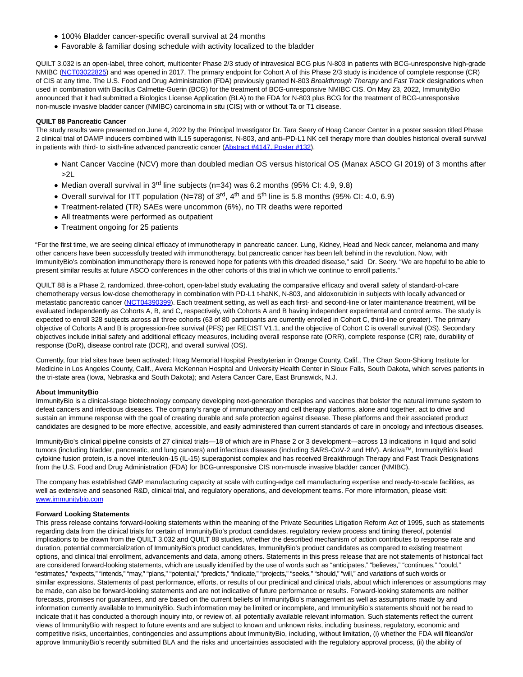- 100% Bladder cancer-specific overall survival at 24 months
- Favorable & familiar dosing schedule with activity localized to the bladder

QUILT 3.032 is an open-label, three cohort, multicenter Phase 2/3 study of intravesical BCG plus N-803 in patients with BCG-unresponsive high-grade NMIBC [\(NCT03022825\)](https://cts.businesswire.com/ct/CT?id=smartlink&url=https%3A%2F%2Fclinicaltrials.gov%2Fct2%2Fshow%2FNCT03022825%3Fterm%3DQUILT%2B3.032%26draw%3D2%26rank%3D2&esheet=52740138&newsitemid=20220606005443&lan=en-US&anchor=NCT03022825&index=5&md5=18ec4a4f716ef3e908f38a85fa108121) and was opened in 2017. The primary endpoint for Cohort A of this Phase 2/3 study is incidence of complete response (CR) of CIS at any time. The U.S. Food and Drug Administration (FDA) previously granted N-803 Breakthrough Therapy and Fast Track designations when used in combination with Bacillus Calmette-Guerin (BCG) for the treatment of BCG-unresponsive NMIBC CIS. On May 23, 2022, ImmunityBio announced that it had submitted a Biologics License Application (BLA) to the FDA for N-803 plus BCG for the treatment of BCG-unresponsive non-muscle invasive bladder cancer (NMIBC) carcinoma in situ (CIS) with or without Ta or T1 disease.

#### **QUILT 88 Pancreatic Cancer**

The study results were presented on June 4, 2022 by the Principal Investigator Dr. Tara Seery of Hoag Cancer Center in a poster session titled Phase 2 clinical trial of DAMP inducers combined with IL15 superagonist, N-803, and anti–PD-L1 NK cell therapy more than doubles historical overall survival in patients with third- to sixth-line advanced pancreatic cancer [\(Abstract #4147, Poster #132\).](https://cts.businesswire.com/ct/CT?id=smartlink&url=https%3A%2F%2Fmeetings.asco.org%2Fabstracts-presentations%2F210969&esheet=52740138&newsitemid=20220606005443&lan=en-US&anchor=Abstract+%234147%2C+Poster+%23132&index=6&md5=8650a90cd9401d6cbfb6f68ba845888a)

- Nant Cancer Vaccine (NCV) more than doubled median OS versus historical OS (Manax ASCO GI 2019) of 3 months after >2L
- $\bullet$  Median overall survival in 3<sup>rd</sup> line subjects (n=34) was 6.2 months (95% CI: 4.9, 9.8)
- Overall survival for ITT population (N=78) of  $3^{rd}$ ,  $4^{th}$  and  $5^{th}$  line is 5.8 months (95% CI: 4.0, 6.9)
- Treatment-related (TR) SAEs were uncommon (6%), no TR deaths were reported
- All treatments were performed as outpatient
- Treatment ongoing for 25 patients

"For the first time, we are seeing clinical efficacy of immunotherapy in pancreatic cancer. Lung, Kidney, Head and Neck cancer, melanoma and many other cancers have been successfully treated with immunotherapy, but pancreatic cancer has been left behind in the revolution. Now, with ImmunityBio's combination immunotherapy there is renewed hope for patients with this dreaded disease," said Dr. Seery. "We are hopeful to be able to present similar results at future ASCO conferences in the other cohorts of this trial in which we continue to enroll patients."

QUILT 88 is a Phase 2, randomized, three-cohort, open-label study evaluating the comparative efficacy and overall safety of standard-of-care chemotherapy versus low-dose chemotherapy in combination with PD-L1 t-haNK, N-803, and aldoxorubicin in subjects with locally advanced or metastatic pancreatic cancer [\(NCT04390399\).](https://cts.businesswire.com/ct/CT?id=smartlink&url=https%3A%2F%2Fclinicaltrials.gov%2Fct2%2Fshow%2FNCT04390399%3Fterm%3DNCT04390399%26draw%3D2%26rank%3D1&esheet=52740138&newsitemid=20220606005443&lan=en-US&anchor=NCT04390399&index=7&md5=81f95f9786ead023803944693e565608) Each treatment setting, as well as each first- and second-line or later maintenance treatment, will be evaluated independently as Cohorts A, B, and C, respectively, with Cohorts A and B having independent experimental and control arms. The study is expected to enroll 328 subjects across all three cohorts (63 of 80 participants are currently enrolled in Cohort C, third-line or greater). The primary objective of Cohorts A and B is progression-free survival (PFS) per RECIST V1.1, and the objective of Cohort C is overall survival (OS). Secondary objectives include initial safety and additional efficacy measures, including overall response rate (ORR), complete response (CR) rate, durability of response (DoR), disease control rate (DCR), and overall survival (OS).

Currently, four trial sites have been activated: Hoag Memorial Hospital Presbyterian in Orange County, Calif., The Chan Soon-Shiong Institute for Medicine in Los Angeles County, Calif., Avera McKennan Hospital and University Health Center in Sioux Falls, South Dakota, which serves patients in the tri-state area (Iowa, Nebraska and South Dakota); and Astera Cancer Care, East Brunswick, N.J.

### **About ImmunityBio**

ImmunityBio is a clinical-stage biotechnology company developing next-generation therapies and vaccines that bolster the natural immune system to defeat cancers and infectious diseases. The company's range of immunotherapy and cell therapy platforms, alone and together, act to drive and sustain an immune response with the goal of creating durable and safe protection against disease. These platforms and their associated product candidates are designed to be more effective, accessible, and easily administered than current standards of care in oncology and infectious diseases.

ImmunityBio's clinical pipeline consists of 27 clinical trials—18 of which are in Phase 2 or 3 development—across 13 indications in liquid and solid tumors (including bladder, pancreatic, and lung cancers) and infectious diseases (including SARS-CoV-2 and HIV). Anktiva™, ImmunityBio's lead cytokine fusion protein, is a novel interleukin-15 (IL-15) superagonist complex and has received Breakthrough Therapy and Fast Track Designations from the U.S. Food and Drug Administration (FDA) for BCG-unresponsive CIS non-muscle invasive bladder cancer (NMIBC).

The company has established GMP manufacturing capacity at scale with cutting-edge cell manufacturing expertise and ready-to-scale facilities, as well as extensive and seasoned R&D, clinical trial, and regulatory operations, and development teams. For more information, please visit: [www.immunitybio.com](https://cts.businesswire.com/ct/CT?id=smartlink&url=https%3A%2F%2Fimmunitybio.com%2F&esheet=52740138&newsitemid=20220606005443&lan=en-US&anchor=www.immunitybio.com&index=8&md5=09c17ed6322f0415a8519c620feaea7a)

### **Forward Looking Statements**

This press release contains forward-looking statements within the meaning of the Private Securities Litigation Reform Act of 1995, such as statements regarding data from the clinical trials for certain of ImmunityBio's product candidates, regulatory review process and timing thereof, potential implications to be drawn from the QUILT 3.032 and QUILT 88 studies, whether the described mechanism of action contributes to response rate and duration, potential commercialization of ImmunityBio's product candidates, ImmunityBio's product candidates as compared to existing treatment options, and clinical trial enrollment, advancements and data, among others. Statements in this press release that are not statements of historical fact are considered forward-looking statements, which are usually identified by the use of words such as "anticipates," "believes," "continues," "could," "estimates," "expects," "intends," "may," "plans," "potential," "predicts," "indicate," "projects," "seeks," "should," "will," and variations of such words or similar expressions. Statements of past performance, efforts, or results of our preclinical and clinical trials, about which inferences or assumptions may be made, can also be forward-looking statements and are not indicative of future performance or results. Forward-looking statements are neither forecasts, promises nor guarantees, and are based on the current beliefs of ImmunityBio's management as well as assumptions made by and information currently available to ImmunityBio. Such information may be limited or incomplete, and ImmunityBio's statements should not be read to indicate that it has conducted a thorough inquiry into, or review of, all potentially available relevant information. Such statements reflect the current views of ImmunityBio with respect to future events and are subject to known and unknown risks, including business, regulatory, economic and competitive risks, uncertainties, contingencies and assumptions about ImmunityBio, including, without limitation, (i) whether the FDA will fileand/or approve ImmunityBio's recently submitted BLA and the risks and uncertainties associated with the regulatory approval process, (ii) the ability of